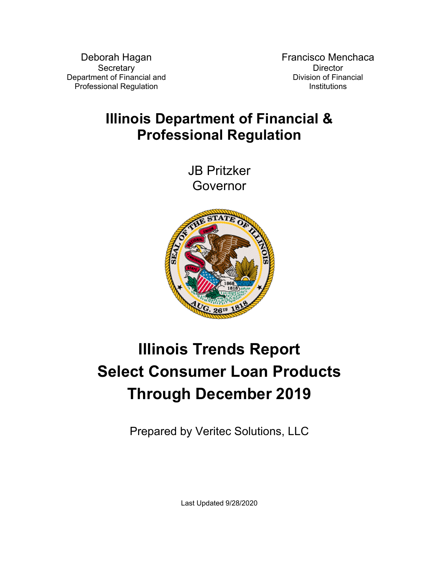Deborah Hagan **Secretary** Department of Financial and Professional Regulation

Francisco Menchaca **Director** Division of Financial **Institutions** 

## **Illinois Department of Financial & Professional Regulation**

JB Pritzker Governor



# **Illinois Trends Report Select Consumer Loan Products Through December 2019**

Prepared by Veritec Solutions, LLC

Last Updated 9/28/2020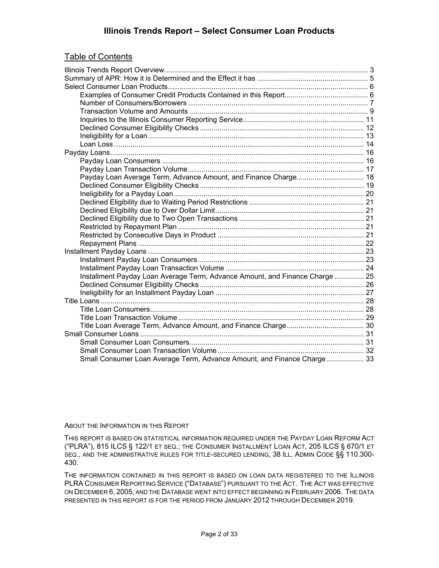#### **Illinois Trends Report – Select Consumer Loan Products**

#### Table of Contents

| Payday Loan Average Term, Advance Amount, and Finance Charge 18             |  |
|-----------------------------------------------------------------------------|--|
|                                                                             |  |
|                                                                             |  |
|                                                                             |  |
|                                                                             |  |
|                                                                             |  |
|                                                                             |  |
|                                                                             |  |
|                                                                             |  |
|                                                                             |  |
|                                                                             |  |
|                                                                             |  |
| Installment Payday Loan Average Term, Advance Amount, and Finance Charge 25 |  |
|                                                                             |  |
|                                                                             |  |
|                                                                             |  |
|                                                                             |  |
|                                                                             |  |
|                                                                             |  |
|                                                                             |  |
|                                                                             |  |
|                                                                             |  |
| Small Consumer Loan Average Term, Advance Amount, and Finance Charge 33     |  |

#### ABOUT THE INFORMATION IN THIS REPORT

THIS REPORT IS BASED ON STATISTICAL INFORMATION REQUIRED UNDER THE PAYDAY LOAN REFORM ACT ("PLRA"), 815 ILCS § 122/1 ET SEQ.; THE CONSUMER INSTALLMENT LOAN ACT, 205 ILCS § 670/1 ET SEQ., AND THE ADMINISTRATIVE RULES FOR TITLE-SECURED LENDING, 38 ILL. ADMIN CODE §§ 110.300- 430.

THE INFORMATION CONTAINED IN THIS REPORT IS BASED ON LOAN DATA REGISTERED TO THE ILLINOIS PLRA CONSUMER REPORTING SERVICE ("DATABASE") PURSUANT TO THE ACT. THE ACT WAS EFFECTIVE ON DECEMBER 6, 2005, AND THE DATABASE WENT INTO EFFECT BEGINNING IN FEBRUARY 2006. THE DATA PRESENTED IN THIS REPORT IS FOR THE PERIOD FROM JANUARY 2012 THROUGH DECEMBER 2019.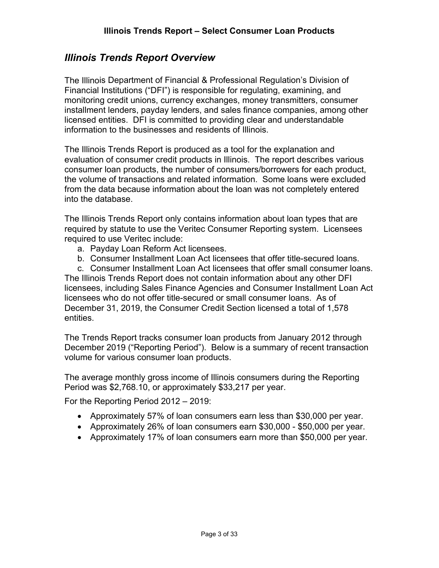#### *Illinois Trends Report Overview*

The Illinois Department of Financial & Professional Regulation's Division of Financial Institutions ("DFI") is responsible for regulating, examining, and monitoring credit unions, currency exchanges, money transmitters, consumer installment lenders, payday lenders, and sales finance companies, among other licensed entities. DFI is committed to providing clear and understandable information to the businesses and residents of Illinois.

The Illinois Trends Report is produced as a tool for the explanation and evaluation of consumer credit products in Illinois. The report describes various consumer loan products, the number of consumers/borrowers for each product, the volume of transactions and related information. Some loans were excluded from the data because information about the loan was not completely entered into the database.

The Illinois Trends Report only contains information about loan types that are required by statute to use the Veritec Consumer Reporting system. Licensees required to use Veritec include:

- a. Payday Loan Reform Act licensees.
- b. Consumer Installment Loan Act licensees that offer title-secured loans.
- c. Consumer Installment Loan Act licensees that offer small consumer loans.

The Illinois Trends Report does not contain information about any other DFI licensees, including Sales Finance Agencies and Consumer Installment Loan Act licensees who do not offer title-secured or small consumer loans. As of December 31, 2019, the Consumer Credit Section licensed a total of 1,578 entities.

The Trends Report tracks consumer loan products from January 2012 through December 2019 ("Reporting Period"). Below is a summary of recent transaction volume for various consumer loan products.

The average monthly gross income of Illinois consumers during the Reporting Period was \$2,768.10, or approximately \$33,217 per year.

For the Reporting Period 2012 – 2019:

- Approximately 57% of loan consumers earn less than \$30,000 per year.
- Approximately 26% of loan consumers earn \$30,000 \$50,000 per year.
- Approximately 17% of loan consumers earn more than \$50,000 per year.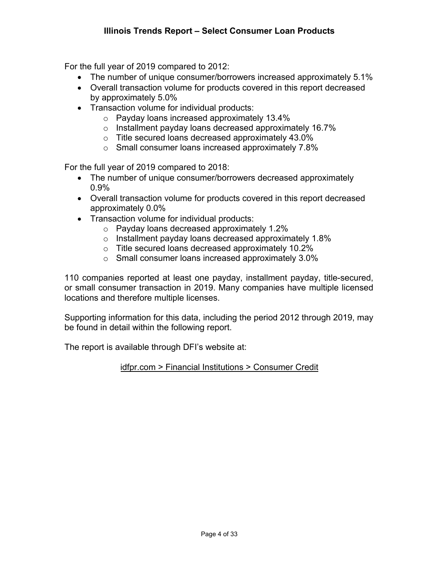For the full year of 2019 compared to 2012:

- The number of unique consumer/borrowers increased approximately 5.1%
- Overall transaction volume for products covered in this report decreased by approximately 5.0%
- Transaction volume for individual products:
	- o Payday loans increased approximately 13.4%
	- o Installment payday loans decreased approximately 16.7%
	- o Title secured loans decreased approximately 43.0%
	- o Small consumer loans increased approximately 7.8%

For the full year of 2019 compared to 2018:

- The number of unique consumer/borrowers decreased approximately 0.9%
- Overall transaction volume for products covered in this report decreased approximately 0.0%
- Transaction volume for individual products:
	- o Payday loans decreased approximately 1.2%
	- o Installment payday loans decreased approximately 1.8%
	- o Title secured loans decreased approximately 10.2%
	- o Small consumer loans increased approximately 3.0%

110 companies reported at least one payday, installment payday, title-secured, or small consumer transaction in 2019. Many companies have multiple licensed locations and therefore multiple licenses.

Supporting information for this data, including the period 2012 through 2019, may be found in detail within the following report.

The report is available through DFI's website at:

idfpr.com > Financial Institutions > Consumer Credit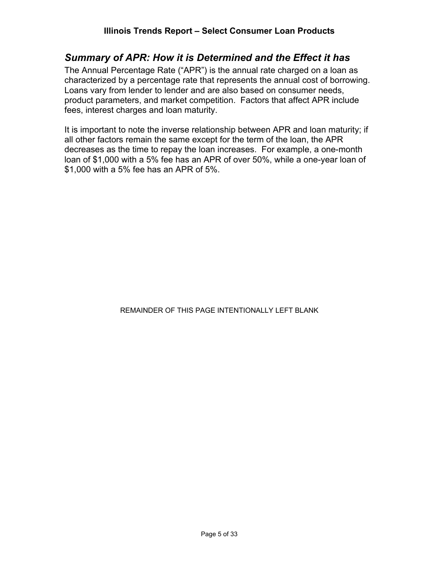#### *Summary of APR: How it is Determined and the Effect it has*

The Annual Percentage Rate ("APR") is the annual rate charged on a loan as characterized by a percentage rate that represents the annual cost of borrowing. Loans vary from lender to lender and are also based on consumer needs, product parameters, and market competition. Factors that affect APR include fees, interest charges and loan maturity.

It is important to note the inverse relationship between APR and loan maturity; if all other factors remain the same except for the term of the loan, the APR decreases as the time to repay the loan increases. For example, a one-month loan of \$1,000 with a 5% fee has an APR of over 50%, while a one-year loan of \$1,000 with a 5% fee has an APR of 5%.

#### REMAINDER OF THIS PAGE INTENTIONALLY LEFT BLANK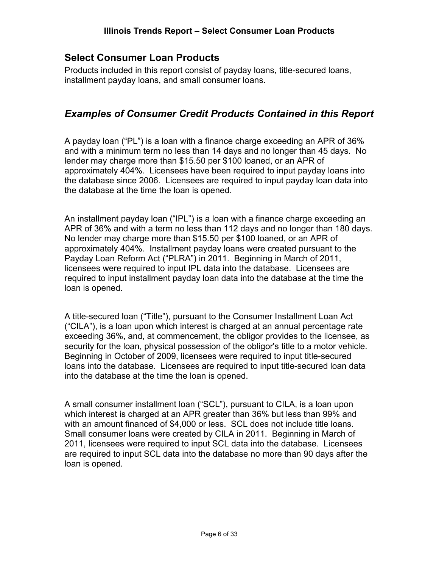#### **Select Consumer Loan Products**

Products included in this report consist of payday loans, title-secured loans, installment payday loans, and small consumer loans.

#### *Examples of Consumer Credit Products Contained in this Report*

A payday loan ("PL") is a loan with a finance charge exceeding an APR of 36% and with a minimum term no less than 14 days and no longer than 45 days. No lender may charge more than \$15.50 per \$100 loaned, or an APR of approximately 404%. Licensees have been required to input payday loans into the database since 2006. Licensees are required to input payday loan data into the database at the time the loan is opened.

An installment payday loan ("IPL") is a loan with a finance charge exceeding an APR of 36% and with a term no less than 112 days and no longer than 180 days. No lender may charge more than \$15.50 per \$100 loaned, or an APR of approximately 404%. Installment payday loans were created pursuant to the Payday Loan Reform Act ("PLRA") in 2011. Beginning in March of 2011, licensees were required to input IPL data into the database. Licensees are required to input installment payday loan data into the database at the time the loan is opened.

A title-secured loan ("Title"), pursuant to the Consumer Installment Loan Act ("CILA"), is a loan upon which interest is charged at an annual percentage rate exceeding 36%, and, at commencement, the obligor provides to the licensee, as security for the loan, physical possession of the obligor's title to a motor vehicle. Beginning in October of 2009, licensees were required to input title-secured loans into the database. Licensees are required to input title-secured loan data into the database at the time the loan is opened.

A small consumer installment loan ("SCL"), pursuant to CILA, is a loan upon which interest is charged at an APR greater than 36% but less than 99% and with an amount financed of \$4,000 or less. SCL does not include title loans. Small consumer loans were created by CILA in 2011. Beginning in March of 2011, licensees were required to input SCL data into the database. Licensees are required to input SCL data into the database no more than 90 days after the loan is opened.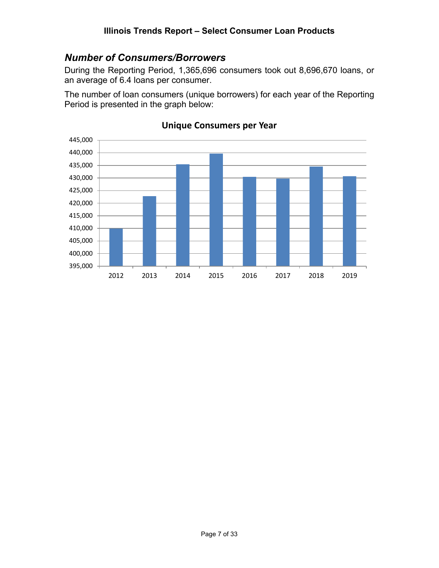#### *Number of Consumers/Borrowers*

During the Reporting Period, 1,365,696 consumers took out 8,696,670 loans, or an average of 6.4 loans per consumer.

The number of loan consumers (unique borrowers) for each year of the Reporting Period is presented in the graph below:



#### **Unique Consumers per Year**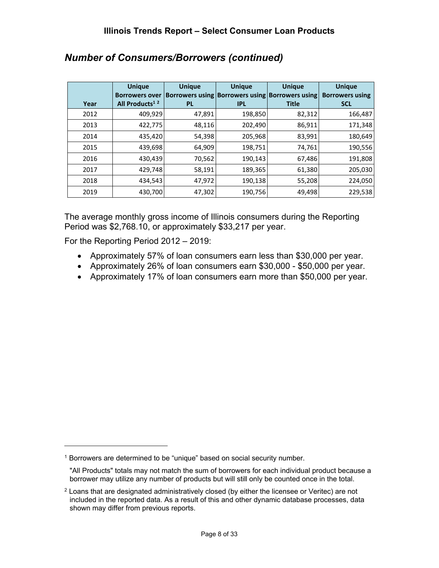|      | <b>Unique</b><br><b>Borrowers over</b> | <b>Unique</b> | <b>Unique</b><br>Borrowers using Borrowers using Borrowers using | <b>Unique</b> | <b>Unique</b><br><b>Borrowers using</b> |
|------|----------------------------------------|---------------|------------------------------------------------------------------|---------------|-----------------------------------------|
| Year | All Products <sup>12</sup>             | <b>PL</b>     | <b>IPL</b>                                                       | <b>Title</b>  | <b>SCL</b>                              |
| 2012 | 409,929                                | 47,891        | 198,850                                                          | 82,312        | 166,487                                 |
| 2013 | 422,775                                | 48,116        | 202,490                                                          | 86,911        | 171,348                                 |
| 2014 | 435,420                                | 54,398        | 205,968                                                          | 83,991        | 180,649                                 |
| 2015 | 439,698                                | 64,909        | 198,751                                                          | 74,761        | 190,556                                 |
| 2016 | 430,439                                | 70,562        | 190,143                                                          | 67,486        | 191,808                                 |
| 2017 | 429,748                                | 58,191        | 189,365                                                          | 61,380        | 205,030                                 |
| 2018 | 434,543                                | 47,972        | 190,138                                                          | 55,208        | 224,050                                 |
| 2019 | 430,700                                | 47,302        | 190,756                                                          | 49,498        | 229,538                                 |

## *Number of Consumers/Borrowers (continued)*

The average monthly gross income of Illinois consumers during the Reporting Period was \$2,768.10, or approximately \$33,217 per year.

For the Reporting Period 2012 – 2019:

- Approximately 57% of loan consumers earn less than \$30,000 per year.
- Approximately 26% of loan consumers earn \$30,000 \$50,000 per year.
- Approximately 17% of loan consumers earn more than \$50,000 per year.

<sup>&</sup>lt;sup>1</sup> Borrowers are determined to be "unique" based on social security number.

<sup>&</sup>quot;All Products" totals may not match the sum of borrowers for each individual product because a borrower may utilize any number of products but will still only be counted once in the total.

 $2$  Loans that are designated administratively closed (by either the licensee or Veritec) are not included in the reported data. As a result of this and other dynamic database processes, data shown may differ from previous reports.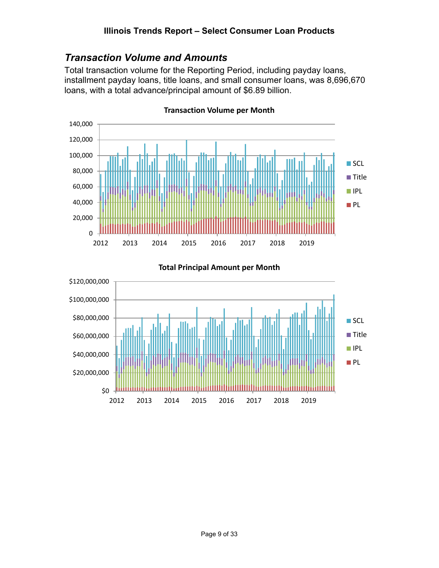#### *Transaction Volume and Amounts*

Total transaction volume for the Reporting Period, including payday loans, installment payday loans, title loans, and small consumer loans, was 8,696,670 loans, with a total advance/principal amount of \$6.89 billion.



**Transaction Volume per Month**



**Total Principal Amount per Month**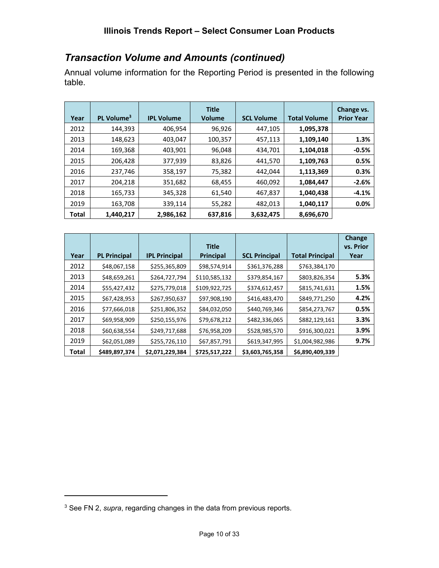## *Transaction Volume and Amounts (continued)*

Annual volume information for the Reporting Period is presented in the following table.

| Year         | PL Volume <sup>3</sup> | <b>IPL Volume</b> | <b>Title</b><br><b>Volume</b> | <b>SCL Volume</b> | <b>Total Volume</b> | Change vs.<br><b>Prior Year</b> |
|--------------|------------------------|-------------------|-------------------------------|-------------------|---------------------|---------------------------------|
| 2012         | 144.393                | 406.954           | 96,926                        | 447.105           | 1,095,378           |                                 |
| 2013         | 148,623                | 403,047           | 100,357                       | 457,113           | 1,109,140           | 1.3%                            |
| 2014         | 169,368                | 403,901           | 96,048                        | 434,701           | 1,104,018           | $-0.5%$                         |
| 2015         | 206,428                | 377,939           | 83,826                        | 441,570           | 1,109,763           | 0.5%                            |
| 2016         | 237,746                | 358,197           | 75,382                        | 442,044           | 1,113,369           | 0.3%                            |
| 2017         | 204,218                | 351,682           | 68,455                        | 460,092           | 1,084,447           | $-2.6%$                         |
| 2018         | 165,733                | 345,328           | 61,540                        | 467,837           | 1,040,438           | $-4.1%$                         |
| 2019         | 163,708                | 339,114           | 55,282                        | 482,013           | 1,040,117           | 0.0%                            |
| <b>Total</b> | 1,440,217              | 2,986,162         | 637,816                       | 3,632,475         | 8,696,670           |                                 |

|       |                     |                      | <b>Title</b>  |                      |                        | <b>Change</b><br>vs. Prior |
|-------|---------------------|----------------------|---------------|----------------------|------------------------|----------------------------|
| Year  | <b>PL Principal</b> | <b>IPL Principal</b> | Principal     | <b>SCL Principal</b> | <b>Total Principal</b> | Year                       |
| 2012  | \$48,067,158        | \$255,365,809        | \$98,574,914  | \$361,376,288        | \$763,384,170          |                            |
| 2013  | \$48,659,261        | \$264,727,794        | \$110,585,132 | \$379,854,167        | \$803,826,354          | 5.3%                       |
| 2014  | \$55,427,432        | \$275,779,018        | \$109,922,725 | \$374,612,457        | \$815,741,631          | 1.5%                       |
| 2015  | \$67,428,953        | \$267,950,637        | \$97,908,190  | \$416,483,470        | \$849,771,250          | 4.2%                       |
| 2016  | \$77,666,018        | \$251,806,352        | \$84,032,050  | \$440,769,346        | \$854,273,767          | 0.5%                       |
| 2017  | \$69,958,909        | \$250,155,976        | \$79,678,212  | \$482,336,065        | \$882,129,161          | 3.3%                       |
| 2018  | \$60,638,554        | \$249,717,688        | \$76,958,209  | \$528,985,570        | \$916,300,021          | 3.9%                       |
| 2019  | \$62,051,089        | \$255,726,110        | \$67,857,791  | \$619,347,995        | \$1,004,982,986        | 9.7%                       |
| Total | \$489,897,374       | \$2,071,229,384      | \$725,517,222 | \$3,603,765,358      | \$6,890,409,339        |                            |

<sup>3</sup> See FN 2, *supra*, regarding changes in the data from previous reports.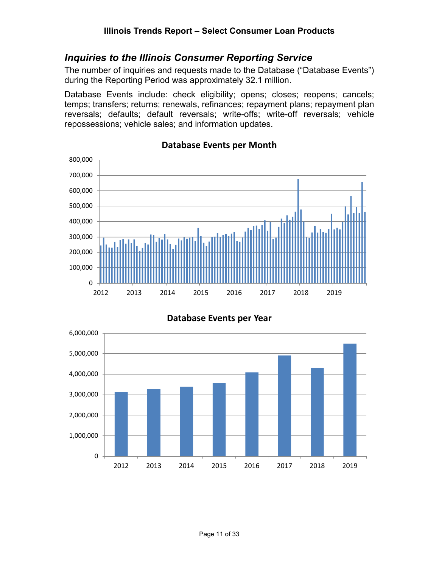#### *Inquiries to the Illinois Consumer Reporting Service*

The number of inquiries and requests made to the Database ("Database Events") during the Reporting Period was approximately 32.1 million.

Database Events include: check eligibility; opens; closes; reopens; cancels; temps; transfers; returns; renewals, refinances; repayment plans; repayment plan reversals; defaults; default reversals; write-offs; write-off reversals; vehicle repossessions; vehicle sales; and information updates.



#### **Database Events per Month**



**Database Events per Year**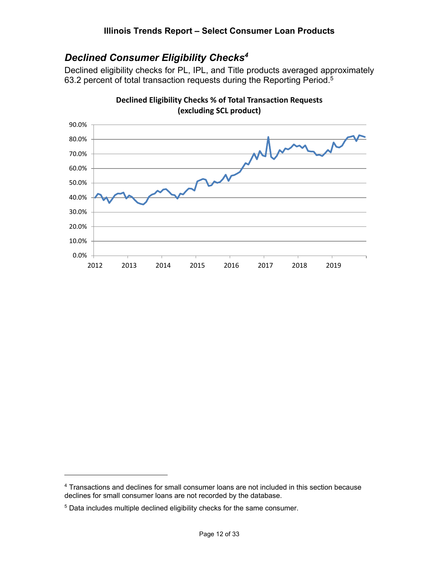## *Declined Consumer Eligibility Checks4*

Declined eligibility checks for PL, IPL, and Title products averaged approximately 63.2 percent of total transaction requests during the Reporting Period.<sup>5</sup>



**Declined Eligibility Checks % of Total Transaction Requests (excluding SCL product)**

<sup>&</sup>lt;sup>4</sup> Transactions and declines for small consumer loans are not included in this section because declines for small consumer loans are not recorded by the database.

<sup>5</sup> Data includes multiple declined eligibility checks for the same consumer.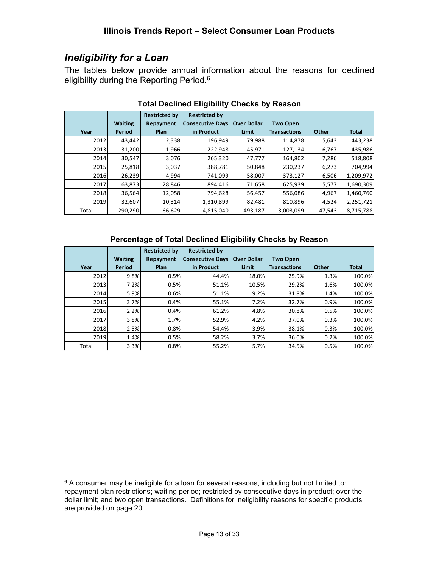#### *Ineligibility for a Loan*

The tables below provide annual information about the reasons for declined eligibility during the Reporting Period.<sup>6</sup>

|       |                | <b>Restricted by</b> | <b>Restricted by</b>    |                    |                     |        |              |
|-------|----------------|----------------------|-------------------------|--------------------|---------------------|--------|--------------|
|       | <b>Waiting</b> | Repayment            | <b>Consecutive Days</b> | <b>Over Dollar</b> | <b>Two Open</b>     |        |              |
| Year  | <b>Period</b>  | <b>Plan</b>          | in Product              | <b>Limit</b>       | <b>Transactions</b> | Other  | <b>Total</b> |
| 2012  | 43,442         | 2,338                | 196,949                 | 79,988             | 114,878             | 5,643  | 443,238      |
| 2013  | 31,200         | 1,966                | 222,948                 | 45,971             | 127,134             | 6,767  | 435,986      |
| 2014  | 30,547         | 3,076                | 265,320                 | 47,777             | 164,802             | 7,286  | 518,808      |
| 2015  | 25,818         | 3,037                | 388,781                 | 50,848             | 230,237             | 6,273  | 704,994      |
| 2016  | 26,239         | 4,994                | 741,099                 | 58,007             | 373,127             | 6,506  | 1,209,972    |
| 2017  | 63,873         | 28,846               | 894,416                 | 71,658             | 625,939             | 5,577  | 1,690,309    |
| 2018  | 36,564         | 12,058               | 794,628                 | 56,457             | 556,086             | 4,967  | 1,460,760    |
| 2019  | 32,607         | 10,314               | 1,310,899               | 82,481             | 810,896             | 4,524  | 2,251,721    |
| Total | 290,290        | 66,629               | 4,815,040               | 493,187            | 3,003,099           | 47.543 | 8,715,788    |

#### **Total Declined Eligibility Checks by Reason**

#### **Percentage of Total Declined Eligibility Checks by Reason**

|       |                | <b>Restricted by</b> | <b>Restricted by</b>    |                    |                     |       |              |
|-------|----------------|----------------------|-------------------------|--------------------|---------------------|-------|--------------|
|       | <b>Waiting</b> | Repayment            | <b>Consecutive Days</b> | <b>Over Dollar</b> | <b>Two Open</b>     |       |              |
| Year  | Period         | Plan                 | in Product              | <b>Limit</b>       | <b>Transactions</b> | Other | <b>Total</b> |
| 2012  | 9.8%           | 0.5%                 | 44.4%                   | 18.0%              | 25.9%               | 1.3%  | 100.0%       |
| 2013  | 7.2%           | 0.5%                 | 51.1%                   | 10.5%              | 29.2%               | 1.6%  | 100.0%       |
| 2014  | 5.9%           | 0.6%                 | 51.1%                   | 9.2%               | 31.8%               | 1.4%  | 100.0%       |
| 2015  | 3.7%           | 0.4%                 | 55.1%                   | 7.2%               | 32.7%               | 0.9%  | 100.0%       |
| 2016  | 2.2%           | 0.4%                 | 61.2%                   | 4.8%               | 30.8%               | 0.5%  | 100.0%       |
| 2017  | 3.8%           | 1.7%                 | 52.9%                   | 4.2%               | 37.0%               | 0.3%  | 100.0%       |
| 2018  | 2.5%           | 0.8%                 | 54.4%                   | 3.9%               | 38.1%               | 0.3%  | 100.0%       |
| 2019  | 1.4%           | 0.5%                 | 58.2%                   | 3.7%               | 36.0%               | 0.2%  | 100.0%       |
| Total | 3.3%           | 0.8%                 | 55.2%                   | 5.7%               | 34.5%               | 0.5%  | 100.0%       |

 $6$  A consumer may be ineligible for a loan for several reasons, including but not limited to: repayment plan restrictions; waiting period; restricted by consecutive days in product; over the dollar limit; and two open transactions. Definitions for ineligibility reasons for specific products are provided on page 20.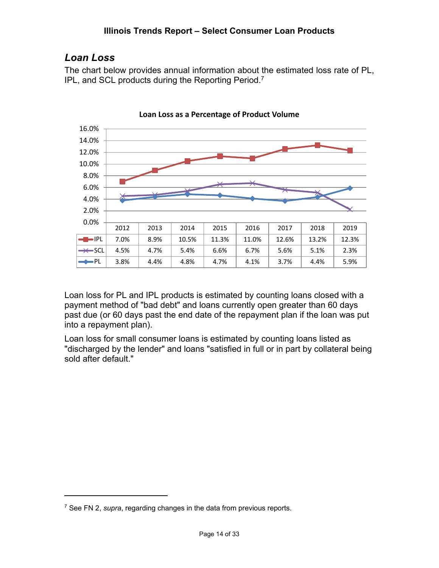#### *Loan Loss*

The chart below provides annual information about the estimated loss rate of PL, IPL, and SCL products during the Reporting Period.7



Loan loss for PL and IPL products is estimated by counting loans closed with a payment method of "bad debt" and loans currently open greater than 60 days past due (or 60 days past the end date of the repayment plan if the loan was put into a repayment plan).

Loan loss for small consumer loans is estimated by counting loans listed as "discharged by the lender" and loans "satisfied in full or in part by collateral being sold after default."

<sup>7</sup> See FN 2, *supra*, regarding changes in the data from previous reports.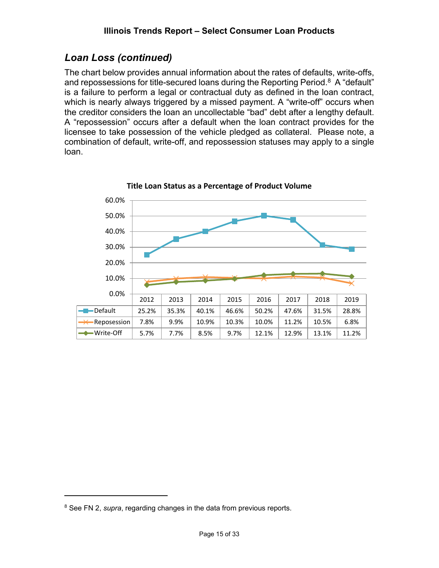## *Loan Loss (continued)*

The chart below provides annual information about the rates of defaults, write-offs, and repossessions for title-secured loans during the Reporting Period.<sup>8</sup> A "default" is a failure to perform a legal or contractual duty as defined in the loan contract, which is nearly always triggered by a missed payment. A "write-off" occurs when the creditor considers the loan an uncollectable "bad" debt after a lengthy default. A "repossession" occurs after a default when the loan contract provides for the licensee to take possession of the vehicle pledged as collateral. Please note, a combination of default, write-off, and repossession statuses may apply to a single loan.



**Title Loan Status as a Percentage of Product Volume**

<sup>8</sup> See FN 2, *supra*, regarding changes in the data from previous reports.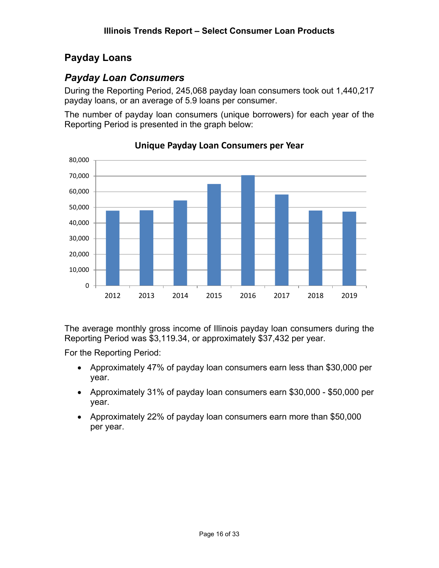## **Payday Loans**

## *Payday Loan Consumers*

During the Reporting Period, 245,068 payday loan consumers took out 1,440,217 payday loans, or an average of 5.9 loans per consumer.

The number of payday loan consumers (unique borrowers) for each year of the Reporting Period is presented in the graph below:



**Unique Payday Loan Consumers per Year**

The average monthly gross income of Illinois payday loan consumers during the Reporting Period was \$3,119.34, or approximately \$37,432 per year.

For the Reporting Period:

- Approximately 47% of payday loan consumers earn less than \$30,000 per year.
- Approximately 31% of payday loan consumers earn \$30,000 \$50,000 per year.
- Approximately 22% of payday loan consumers earn more than \$50,000 per year.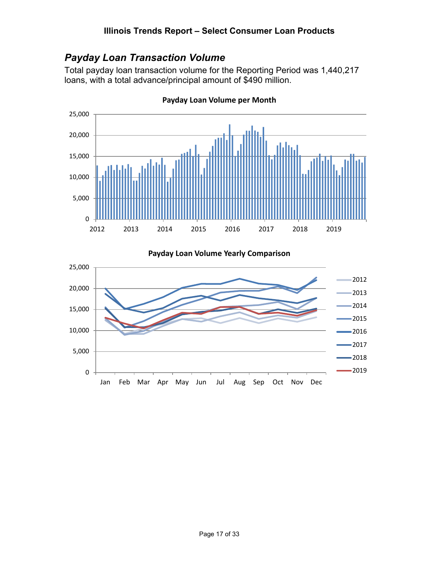## *Payday Loan Transaction Volume*

Total payday loan transaction volume for the Reporting Period was 1,440,217 loans, with a total advance/principal amount of \$490 million.



**Payday Loan Volume per Month**

**Payday Loan Volume Yearly Comparison**

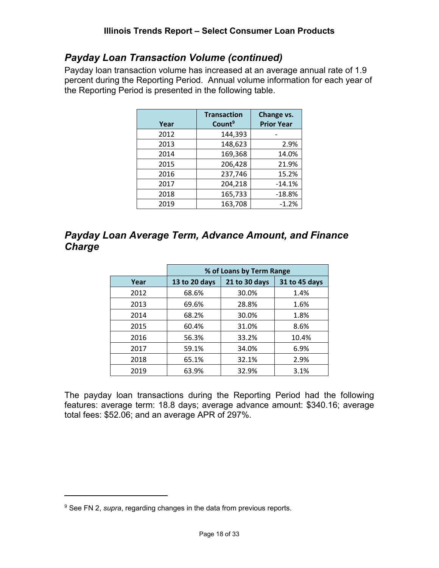#### *Payday Loan Transaction Volume (continued)*

Payday loan transaction volume has increased at an average annual rate of 1.9 percent during the Reporting Period. Annual volume information for each year of the Reporting Period is presented in the following table.

| Year | <b>Transaction</b><br>Count <sup>9</sup> | Change vs.<br><b>Prior Year</b> |
|------|------------------------------------------|---------------------------------|
| 2012 | 144,393                                  |                                 |
| 2013 | 148,623                                  | 2.9%                            |
| 2014 | 169,368                                  | 14.0%                           |
| 2015 | 206,428                                  | 21.9%                           |
| 2016 | 237,746                                  | 15.2%                           |
| 2017 | 204,218                                  | $-14.1%$                        |
| 2018 | 165,733                                  | $-18.8%$                        |
| 2019 | 163,708                                  | $-1.2%$                         |

#### *Payday Loan Average Term, Advance Amount, and Finance Charge*

|      | % of Loans by Term Range |               |               |  |  |  |
|------|--------------------------|---------------|---------------|--|--|--|
| Year | 13 to 20 days            | 21 to 30 days | 31 to 45 days |  |  |  |
| 2012 | 68.6%                    | 30.0%         | 1.4%          |  |  |  |
| 2013 | 69.6%                    | 28.8%         | 1.6%          |  |  |  |
| 2014 | 68.2%                    | 30.0%         | 1.8%          |  |  |  |
| 2015 | 60.4%                    | 31.0%         | 8.6%          |  |  |  |
| 2016 | 56.3%                    | 33.2%         | 10.4%         |  |  |  |
| 2017 | 59.1%                    | 34.0%         | 6.9%          |  |  |  |
| 2018 | 65.1%                    | 32.1%         | 2.9%          |  |  |  |
| 2019 | 63.9%                    | 32.9%         | 3.1%          |  |  |  |

The payday loan transactions during the Reporting Period had the following features: average term: 18.8 days; average advance amount: \$340.16; average total fees: \$52.06; and an average APR of 297%.

<sup>9</sup> See FN 2, *supra*, regarding changes in the data from previous reports.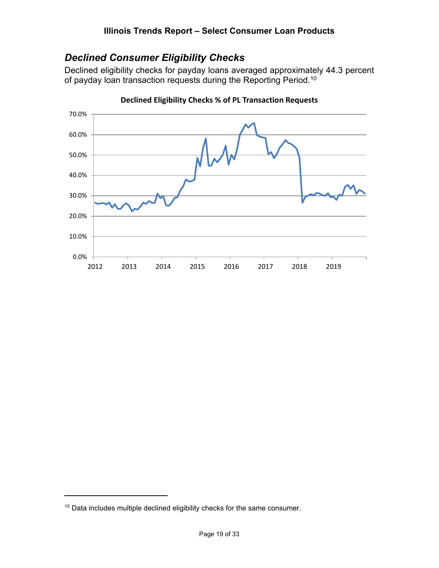#### *Declined Consumer Eligibility Checks*

Declined eligibility checks for payday loans averaged approximately 44.3 percent of payday loan transaction requests during the Reporting Period.<sup>10</sup>



**Declined Eligibility Checks % of PL Transaction Requests**

 $10$  Data includes multiple declined eligibility checks for the same consumer.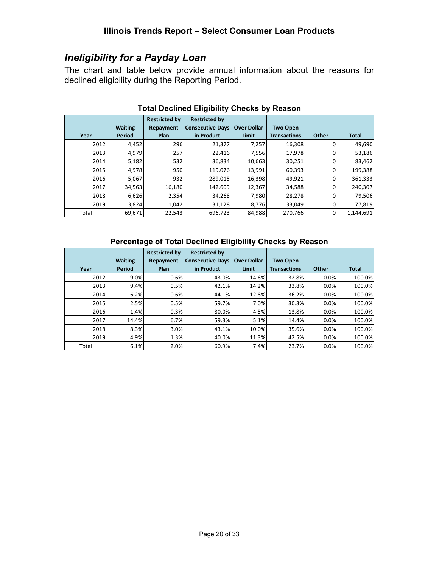#### *Ineligibility for a Payday Loan*

The chart and table below provide annual information about the reasons for declined eligibility during the Reporting Period.

|       |                | <b>Restricted by</b> | <b>Restricted by</b>    |                    |                     |       |              |
|-------|----------------|----------------------|-------------------------|--------------------|---------------------|-------|--------------|
|       | <b>Waiting</b> | Repayment            | <b>Consecutive Days</b> | <b>Over Dollar</b> | <b>Two Open</b>     |       |              |
| Year  | Period         | <b>Plan</b>          | in Product              | Limit              | <b>Transactions</b> | Other | <b>Total</b> |
| 2012  | 4,452          | 296                  | 21,377                  | 7,257              | 16,308              |       | 49,690       |
| 2013  | 4,979          | 257                  | 22,416                  | 7,556              | 17,978              |       | 53,186       |
| 2014  | 5,182          | 532                  | 36,834                  | 10,663             | 30,251              |       | 83,462       |
| 2015  | 4,978          | 950                  | 119,076                 | 13,991             | 60,393              |       | 199,388      |
| 2016  | 5,067          | 932                  | 289,015                 | 16,398             | 49,921              |       | 361,333      |
| 2017  | 34,563         | 16,180               | 142,609                 | 12,367             | 34,588              |       | 240,307      |
| 2018  | 6,626          | 2,354                | 34,268                  | 7,980              | 28,278              |       | 79,506       |
| 2019  | 3,824          | 1,042                | 31,128                  | 8,776              | 33,049              |       | 77,819       |
| Total | 69,671         | 22,543               | 696,723                 | 84,988             | 270,766             | 0     | 1,144,691    |

#### **Total Declined Eligibility Checks by Reason**

#### **Percentage of Total Declined Eligibility Checks by Reason**

|       |                | <b>Restricted by</b> | <b>Restricted by</b>    |                    |                     |       |              |
|-------|----------------|----------------------|-------------------------|--------------------|---------------------|-------|--------------|
|       | <b>Waiting</b> | Repayment            | <b>Consecutive Days</b> | <b>Over Dollar</b> | <b>Two Open</b>     |       |              |
| Year  | <b>Period</b>  | <b>Plan</b>          | in Product              | Limit              | <b>Transactions</b> | Other | <b>Total</b> |
| 2012  | 9.0%           | 0.6%                 | 43.0%                   | 14.6%              | 32.8%               | 0.0%  | 100.0%       |
| 2013  | 9.4%           | 0.5%                 | 42.1%                   | 14.2%              | 33.8%               | 0.0%  | 100.0%       |
| 2014  | 6.2%           | 0.6%                 | 44.1%                   | 12.8%              | 36.2%               | 0.0%  | 100.0%       |
| 2015  | 2.5%           | 0.5%                 | 59.7%                   | 7.0%               | 30.3%               | 0.0%  | 100.0%       |
| 2016  | 1.4%           | 0.3%                 | 80.0%                   | 4.5%               | 13.8%               | 0.0%  | 100.0%       |
| 2017  | 14.4%          | 6.7%                 | 59.3%                   | 5.1%               | 14.4%               | 0.0%  | 100.0%       |
| 2018  | 8.3%           | 3.0%                 | 43.1%                   | 10.0%              | 35.6%               | 0.0%  | 100.0%       |
| 2019  | 4.9%           | 1.3%                 | 40.0%                   | 11.3%              | 42.5%               | 0.0%  | 100.0%       |
| Total | 6.1%           | 2.0%                 | 60.9%                   | 7.4%               | 23.7%               | 0.0%  | 100.0%       |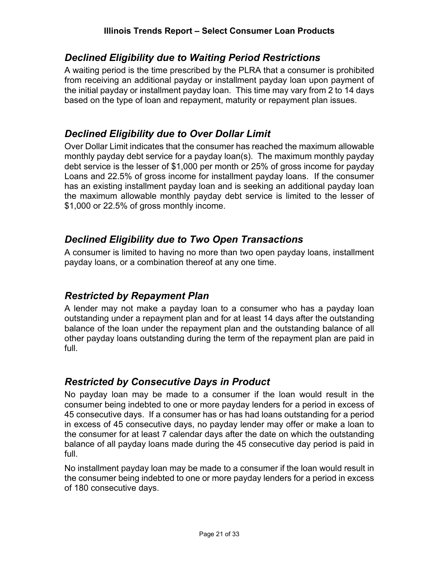#### *Declined Eligibility due to Waiting Period Restrictions*

A waiting period is the time prescribed by the PLRA that a consumer is prohibited from receiving an additional payday or installment payday loan upon payment of the initial payday or installment payday loan. This time may vary from 2 to 14 days based on the type of loan and repayment, maturity or repayment plan issues.

#### *Declined Eligibility due to Over Dollar Limit*

Over Dollar Limit indicates that the consumer has reached the maximum allowable monthly payday debt service for a payday loan(s). The maximum monthly payday debt service is the lesser of \$1,000 per month or 25% of gross income for payday Loans and 22.5% of gross income for installment payday loans. If the consumer has an existing installment payday loan and is seeking an additional payday loan the maximum allowable monthly payday debt service is limited to the lesser of \$1,000 or 22.5% of gross monthly income.

#### *Declined Eligibility due to Two Open Transactions*

A consumer is limited to having no more than two open payday loans, installment payday loans, or a combination thereof at any one time.

#### *Restricted by Repayment Plan*

A lender may not make a payday loan to a consumer who has a payday loan outstanding under a repayment plan and for at least 14 days after the outstanding balance of the loan under the repayment plan and the outstanding balance of all other payday loans outstanding during the term of the repayment plan are paid in full.

#### *Restricted by Consecutive Days in Product*

No payday loan may be made to a consumer if the loan would result in the consumer being indebted to one or more payday lenders for a period in excess of 45 consecutive days. If a consumer has or has had loans outstanding for a period in excess of 45 consecutive days, no payday lender may offer or make a loan to the consumer for at least 7 calendar days after the date on which the outstanding balance of all payday loans made during the 45 consecutive day period is paid in full.

No installment payday loan may be made to a consumer if the loan would result in the consumer being indebted to one or more payday lenders for a period in excess of 180 consecutive days.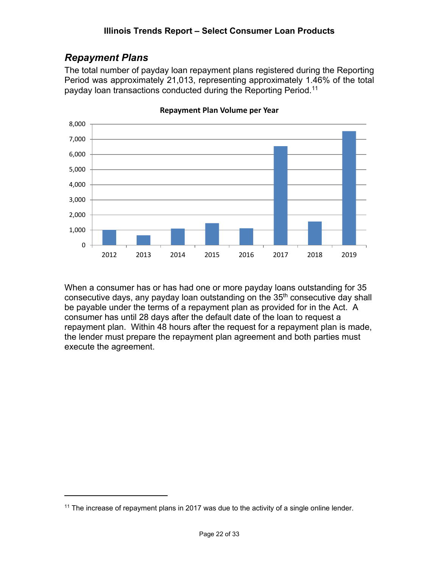## *Repayment Plans*

The total number of payday loan repayment plans registered during the Reporting Period was approximately 21,013, representing approximately 1.46% of the total payday loan transactions conducted during the Reporting Period.11



**Repayment Plan Volume per Year**

When a consumer has or has had one or more payday loans outstanding for 35 consecutive days, any payday loan outstanding on the  $35<sup>th</sup>$  consecutive day shall be payable under the terms of a repayment plan as provided for in the Act. A consumer has until 28 days after the default date of the loan to request a repayment plan. Within 48 hours after the request for a repayment plan is made, the lender must prepare the repayment plan agreement and both parties must execute the agreement.

 $11$  The increase of repayment plans in 2017 was due to the activity of a single online lender.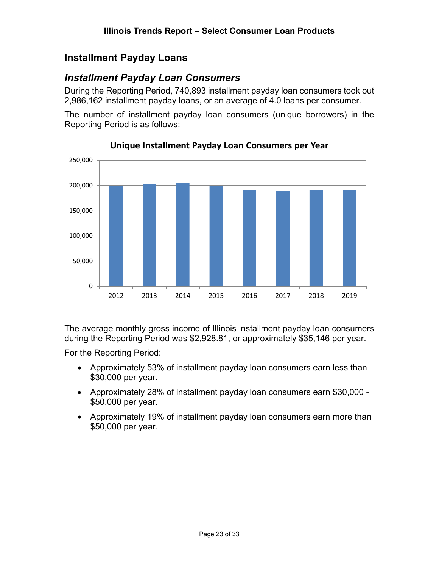#### **Installment Payday Loans**

#### *Installment Payday Loan Consumers*

During the Reporting Period, 740,893 installment payday loan consumers took out 2,986,162 installment payday loans, or an average of 4.0 loans per consumer.

The number of installment payday loan consumers (unique borrowers) in the Reporting Period is as follows:



#### **Unique Installment Payday Loan Consumers per Year**

The average monthly gross income of Illinois installment payday loan consumers during the Reporting Period was \$2,928.81, or approximately \$35,146 per year.

For the Reporting Period:

- Approximately 53% of installment payday loan consumers earn less than \$30,000 per year.
- Approximately 28% of installment payday loan consumers earn \$30,000 \$50,000 per year.
- Approximately 19% of installment payday loan consumers earn more than \$50,000 per year.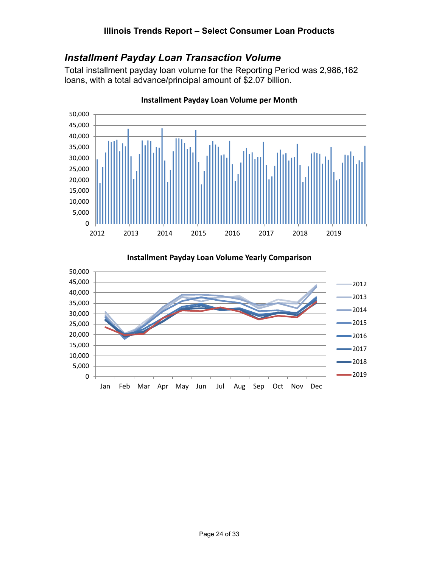#### *Installment Payday Loan Transaction Volume*

Total installment payday loan volume for the Reporting Period was 2,986,162 loans, with a total advance/principal amount of \$2.07 billion.



**Installment Payday Loan Volume per Month**

**Installment Payday Loan Volume Yearly Comparison**

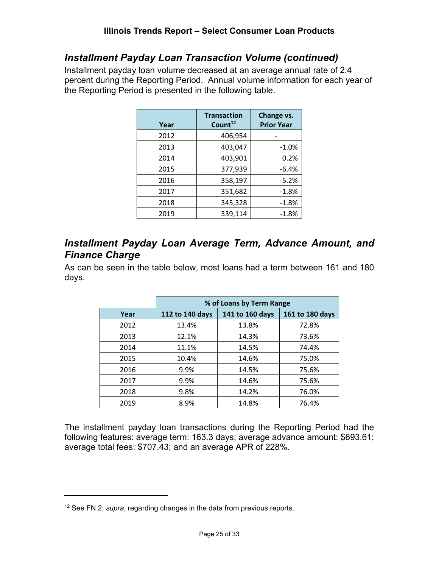#### *Installment Payday Loan Transaction Volume (continued)*

Installment payday loan volume decreased at an average annual rate of 2.4 percent during the Reporting Period. Annual volume information for each year of the Reporting Period is presented in the following table.

| Year | <b>Transaction</b><br>Count <sup>12</sup> | Change vs.<br><b>Prior Year</b> |
|------|-------------------------------------------|---------------------------------|
| 2012 | 406,954                                   |                                 |
| 2013 | 403,047                                   | $-1.0%$                         |
| 2014 | 403,901                                   | 0.2%                            |
| 2015 | 377,939                                   | $-6.4%$                         |
| 2016 | 358,197                                   | $-5.2%$                         |
| 2017 | 351,682                                   | $-1.8%$                         |
| 2018 | 345,328                                   | $-1.8%$                         |
| 2019 | 339,114                                   | $-1.8%$                         |

#### *Installment Payday Loan Average Term, Advance Amount, and Finance Charge*

As can be seen in the table below, most loans had a term between 161 and 180 days.

|      | % of Loans by Term Range |                 |                 |  |  |  |
|------|--------------------------|-----------------|-----------------|--|--|--|
| Year | 112 to 140 days          | 141 to 160 days | 161 to 180 days |  |  |  |
| 2012 | 13.4%                    | 13.8%           | 72.8%           |  |  |  |
| 2013 | 12.1%                    | 14.3%           | 73.6%           |  |  |  |
| 2014 | 11.1%                    | 14.5%           | 74.4%           |  |  |  |
| 2015 | 10.4%                    | 14.6%           | 75.0%           |  |  |  |
| 2016 | 9.9%                     | 14.5%           | 75.6%           |  |  |  |
| 2017 | 9.9%                     | 14.6%           | 75.6%           |  |  |  |
| 2018 | 9.8%                     | 14.2%           | 76.0%           |  |  |  |
| 2019 | 8.9%                     | 14.8%           | 76.4%           |  |  |  |

The installment payday loan transactions during the Reporting Period had the following features: average term: 163.3 days; average advance amount: \$693.61; average total fees: \$707.43; and an average APR of 228%.

<sup>12</sup> See FN 2, *supra*, regarding changes in the data from previous reports.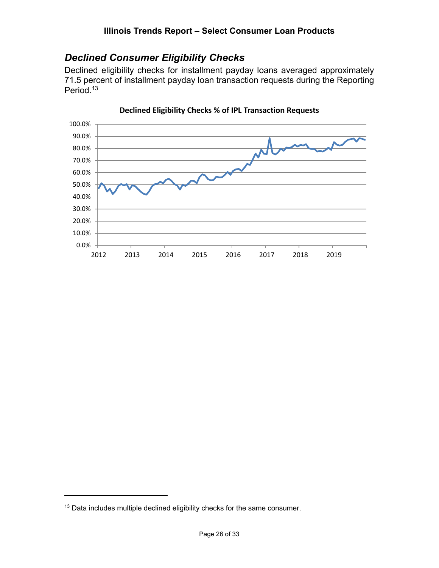## *Declined Consumer Eligibility Checks*

Declined eligibility checks for installment payday loans averaged approximately 71.5 percent of installment payday loan transaction requests during the Reporting Period.<sup>13</sup>



**Declined Eligibility Checks % of IPL Transaction Requests**

<sup>&</sup>lt;sup>13</sup> Data includes multiple declined eligibility checks for the same consumer.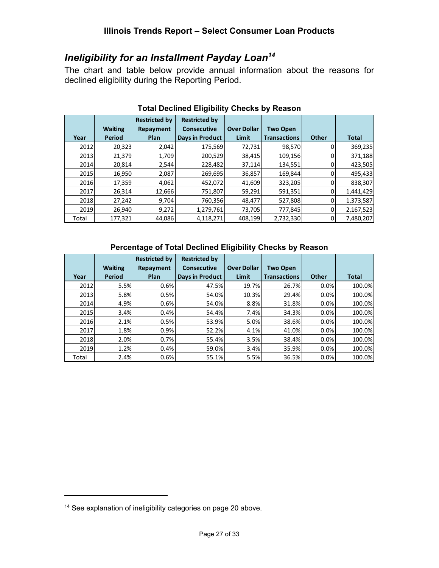## *Ineligibility for an Installment Payday Loan14*

The chart and table below provide annual information about the reasons for declined eligibility during the Reporting Period.

|       |                | <b>Restricted by</b> | <b>Restricted by</b> |                    |                     |              |              |
|-------|----------------|----------------------|----------------------|--------------------|---------------------|--------------|--------------|
|       | <b>Waiting</b> | Repayment            | <b>Consecutive</b>   | <b>Over Dollar</b> | <b>Two Open</b>     |              |              |
| Year  | Period         | Plan                 | Days in Product      | Limit              | <b>Transactions</b> | <b>Other</b> | <b>Total</b> |
| 2012  | 20,323         | 2,042                | 175,569              | 72,731             | 98,570              |              | 369,235      |
| 2013  | 21,379         | 1,709                | 200,529              | 38,415             | 109,156             |              | 371,188      |
| 2014  | 20,814         | 2,544                | 228,482              | 37,114             | 134,551             |              | 423,505      |
| 2015  | 16,950         | 2,087                | 269,695              | 36,857             | 169,844             |              | 495,433      |
| 2016  | 17,359         | 4,062                | 452,072              | 41,609             | 323,205             |              | 838,307      |
| 2017  | 26,314         | 12,666               | 751,807              | 59,291             | 591,351             | 0            | 1,441,429    |
| 2018  | 27,242         | 9,704                | 760,356              | 48,477             | 527,808             | 0            | 1,373,587    |
| 2019  | 26,940         | 9,272                | 1,279,761            | 73,705             | 777,845             | 0            | 2,167,523    |
| Total | 177,321        | 44,086               | 4,118,271            | 408,199            | 2,732,330           | 0            | 7,480,207    |

#### **Total Declined Eligibility Checks by Reason**

#### **Percentage of Total Declined Eligibility Checks by Reason**

|       |                | <b>Restricted by</b> | <b>Restricted by</b>   |                    |                     |              |              |
|-------|----------------|----------------------|------------------------|--------------------|---------------------|--------------|--------------|
|       | <b>Waiting</b> | Repayment            | <b>Consecutive</b>     | <b>Over Dollar</b> | <b>Two Open</b>     |              |              |
| Year  | Period         | Plan                 | <b>Days in Product</b> | Limit              | <b>Transactions</b> | <b>Other</b> | <b>Total</b> |
| 2012  | 5.5%           | 0.6%                 | 47.5%                  | 19.7%              | 26.7%               | 0.0%         | 100.0%       |
| 2013  | 5.8%           | 0.5%                 | 54.0%                  | 10.3%              | 29.4%               | 0.0%         | 100.0%       |
| 2014  | 4.9%           | 0.6%                 | 54.0%                  | 8.8%               | 31.8%               | 0.0%         | 100.0%       |
| 2015  | 3.4%           | 0.4%                 | 54.4%                  | 7.4%               | 34.3%               | 0.0%         | 100.0%       |
| 2016  | 2.1%           | 0.5%                 | 53.9%                  | 5.0%               | 38.6%               | 0.0%         | 100.0%       |
| 2017  | 1.8%           | 0.9%                 | 52.2%                  | 4.1%               | 41.0%               | 0.0%         | 100.0%       |
| 2018  | 2.0%           | 0.7%                 | 55.4%                  | 3.5%               | 38.4%               | 0.0%         | 100.0%       |
| 2019  | 1.2%           | 0.4%                 | 59.0%                  | 3.4%               | 35.9%               | 0.0%         | 100.0%       |
| Total | 2.4%           | 0.6%                 | 55.1%                  | 5.5%               | 36.5%               | 0.0%         | 100.0%       |

<sup>&</sup>lt;sup>14</sup> See explanation of ineligibility categories on page 20 above.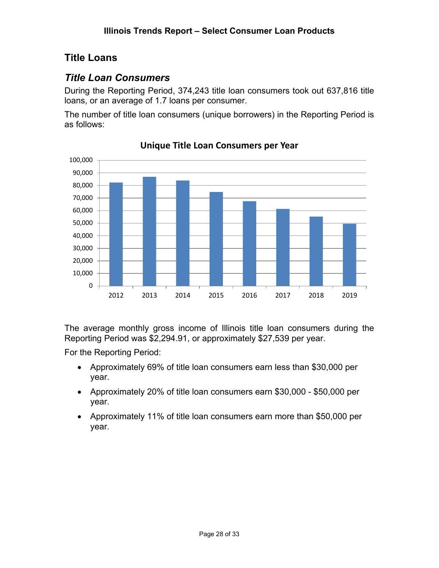## **Title Loans**

## *Title Loan Consumers*

During the Reporting Period, 374,243 title loan consumers took out 637,816 title loans, or an average of 1.7 loans per consumer.

The number of title loan consumers (unique borrowers) in the Reporting Period is as follows:



#### **Unique Title Loan Consumers per Year**

The average monthly gross income of Illinois title loan consumers during the Reporting Period was \$2,294.91, or approximately \$27,539 per year.

For the Reporting Period:

- Approximately 69% of title loan consumers earn less than \$30,000 per year.
- Approximately 20% of title loan consumers earn \$30,000 \$50,000 per year.
- Approximately 11% of title loan consumers earn more than \$50,000 per year.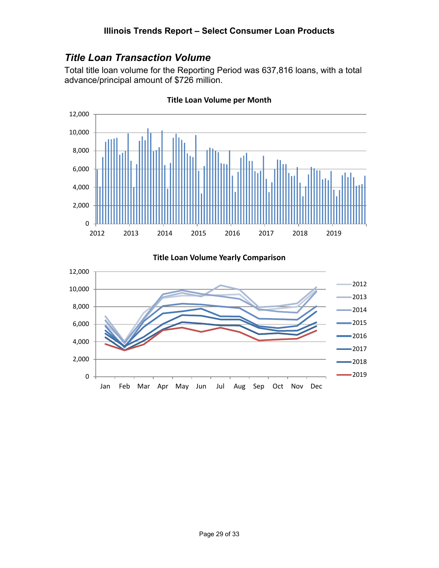#### *Title Loan Transaction Volume*

Total title loan volume for the Reporting Period was 637,816 loans, with a total advance/principal amount of \$726 million.



**Title Loan Volume per Month**

**Title Loan Volume Yearly Comparison**

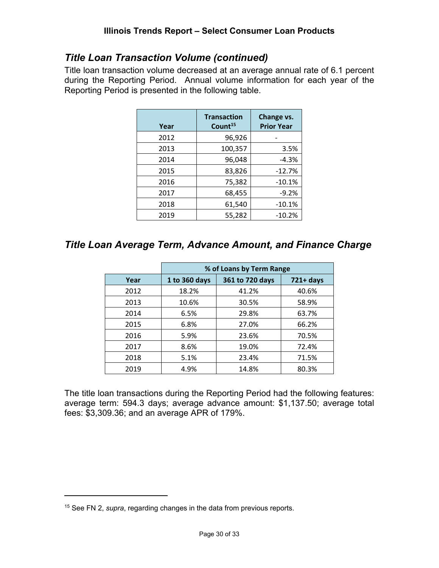#### *Title Loan Transaction Volume (continued)*

Title loan transaction volume decreased at an average annual rate of 6.1 percent during the Reporting Period. Annual volume information for each year of the Reporting Period is presented in the following table.

| Year | <b>Transaction</b><br>Count <sup>15</sup> | Change vs.<br><b>Prior Year</b> |
|------|-------------------------------------------|---------------------------------|
| 2012 | 96,926                                    |                                 |
| 2013 | 100,357                                   | 3.5%                            |
| 2014 | 96,048                                    | $-4.3%$                         |
| 2015 | 83,826                                    | $-12.7%$                        |
| 2016 | 75,382                                    | $-10.1%$                        |
| 2017 | 68,455                                    | $-9.2%$                         |
| 2018 | 61,540                                    | $-10.1%$                        |
| 2019 | 55,282                                    | $-10.2%$                        |

#### *Title Loan Average Term, Advance Amount, and Finance Charge*

|      | % of Loans by Term Range |                 |              |  |
|------|--------------------------|-----------------|--------------|--|
| Year | 1 to 360 days            | 361 to 720 days | $721 + days$ |  |
| 2012 | 18.2%                    | 41.2%           | 40.6%        |  |
| 2013 | 10.6%                    | 30.5%           | 58.9%        |  |
| 2014 | 6.5%                     | 29.8%           | 63.7%        |  |
| 2015 | 6.8%                     | 27.0%           | 66.2%        |  |
| 2016 | 5.9%                     | 23.6%           | 70.5%        |  |
| 2017 | 8.6%                     | 19.0%           | 72.4%        |  |
| 2018 | 5.1%                     | 23.4%           | 71.5%        |  |
| 2019 | 4.9%                     | 14.8%           | 80.3%        |  |

The title loan transactions during the Reporting Period had the following features: average term: 594.3 days; average advance amount: \$1,137.50; average total fees: \$3,309.36; and an average APR of 179%.

<sup>15</sup> See FN 2, *supra*, regarding changes in the data from previous reports.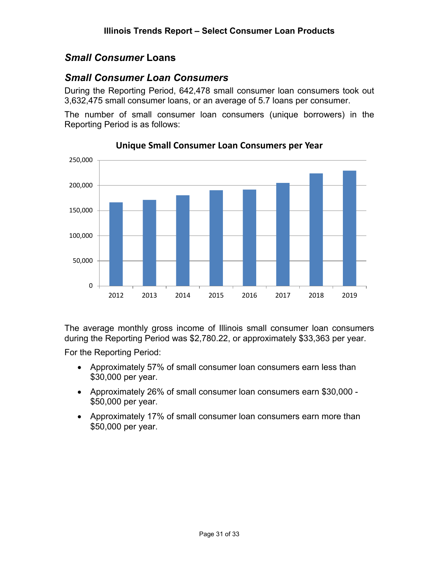#### *Small Consumer* **Loans**

#### *Small Consumer Loan Consumers*

During the Reporting Period, 642,478 small consumer loan consumers took out 3,632,475 small consumer loans, or an average of 5.7 loans per consumer.

The number of small consumer loan consumers (unique borrowers) in the Reporting Period is as follows:



**Unique Small Consumer Loan Consumers per Year**

The average monthly gross income of Illinois small consumer loan consumers during the Reporting Period was \$2,780.22, or approximately \$33,363 per year.

For the Reporting Period:

- Approximately 57% of small consumer loan consumers earn less than \$30,000 per year.
- Approximately 26% of small consumer loan consumers earn \$30,000 \$50,000 per year.
- Approximately 17% of small consumer loan consumers earn more than \$50,000 per year.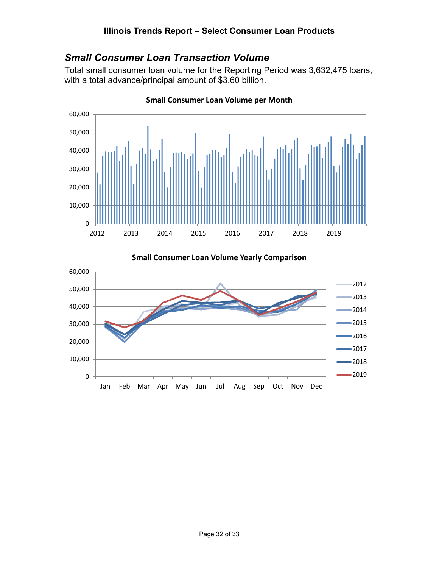#### *Small Consumer Loan Transaction Volume*

Total small consumer loan volume for the Reporting Period was 3,632,475 loans, with a total advance/principal amount of \$3.60 billion.



**Small Consumer Loan Volume per Month**

**Small Consumer Loan Volume Yearly Comparison**